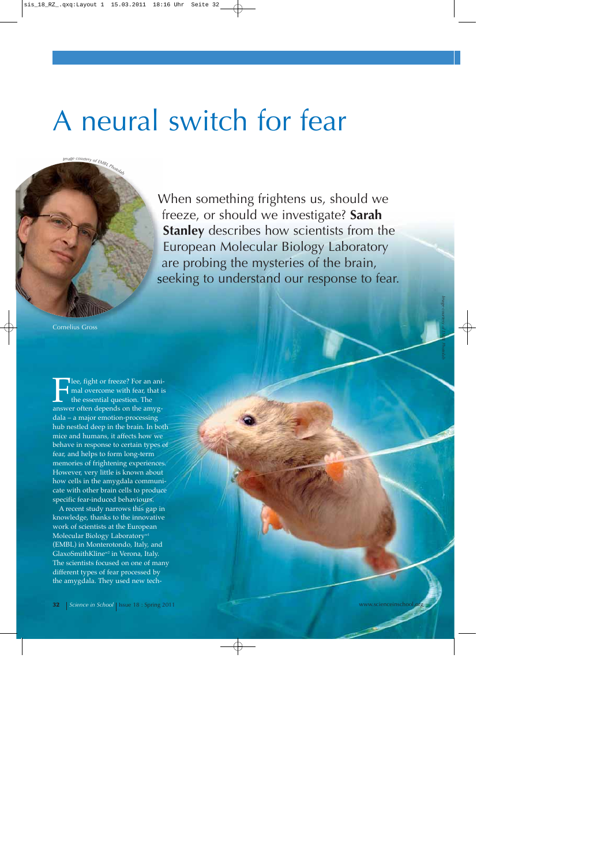# A neural switch for fear



When something frightens us, should we freeze, or should we investigate? **Sarah Stanley** describes how scientists from the European Molecular Biology Laboratory are probing the mysteries of the brain, seeking to understand our response to fear.

Cornelius Gross

**Fight or freeze?** For an ani-<br>
mal overcome with fear, that is<br>
the essential question. The<br>
answer often depends on the amygmal overcome with fear, that is the essential question. The dala – a major emotion-processing hub nestled deep in the brain. In both mice and humans, it affects how we behave in response to certain types of fear, and helps to form long-term memories of frightening experiences. However, very little is known about how cells in the amygdala communicate with other brain cells to produce specific fear-induced behaviours.

A recent study narrows this gap in knowledge, thanks to the innovative work of scientists at the European Molecular Biology Laboratory<sup>w1</sup> (EMBL) in Monterotondo, Italy, and GlaxoSmithKlinew2 in Verona, Italy. The scientists focused on one of many different types of fear processed by the amygdala. They used new tech-

*Image courtesy of EMBL Photolab*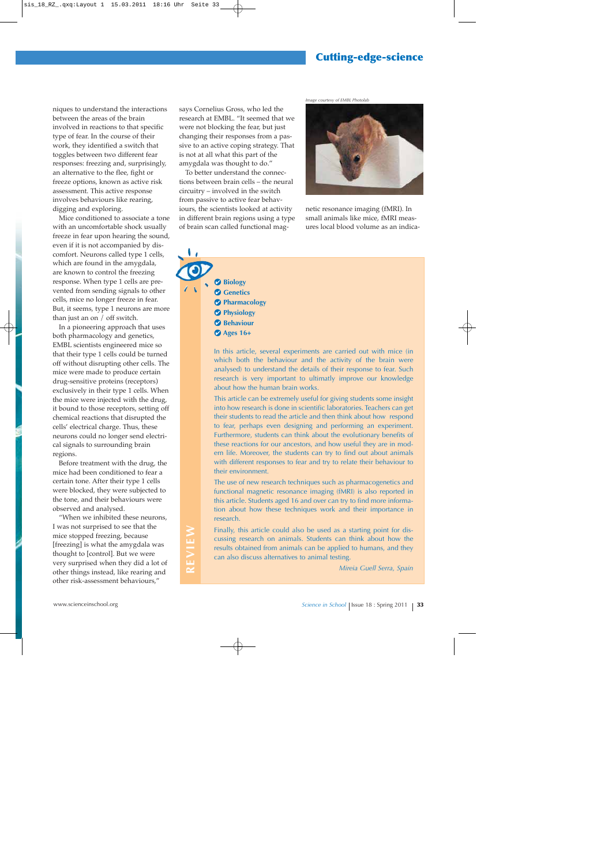### **Cutting-edge-science**

niques to understand the interactions between the areas of the brain involved in reactions to that specific type of fear. In the course of their work, they identified a switch that toggles between two different fear responses: freezing and, surprisingly, an alternative to the flee, fight or freeze options, known as active risk assessment. This active response involves behaviours like rearing, digging and exploring.

Mice conditioned to associate a tone with an uncomfortable shock usually freeze in fear upon hearing the sound, even if it is not accompanied by discomfort. Neurons called type 1 cells, which are found in the amygdala, are known to control the freezing response. When type 1 cells are prevented from sending signals to other cells, mice no longer freeze in fear. But, it seems, type 1 neurons are more than just an on / off switch.

In a pioneering approach that uses both pharmacology and genetics, EMBL scientists engineered mice so that their type 1 cells could be turned off without disrupting other cells. The mice were made to produce certain drug-sensitive proteins (receptors) exclusively in their type 1 cells. When the mice were injected with the drug, it bound to those receptors, setting off chemical reactions that disrupted the cells' electrical charge. Thus, these neurons could no longer send electrical signals to surrounding brain regions.

Before treatment with the drug, the mice had been conditioned to fear a certain tone. After their type 1 cells were blocked, they were subjected to the tone, and their behaviours were observed and analysed.

"When we inhibited these neurons, I was not surprised to see that the mice stopped freezing, because [freezing] is what the amygdala was thought to [control]. But we were very surprised when they did a lot of other things instead, like rearing and other risk-assessment behaviours,"

**REVIEW**

REVIEW

says Cornelius Gross, who led the research at EMBL. "It seemed that we were not blocking the fear, but just changing their responses from a passive to an active coping strategy. That is not at all what this part of the amygdala was thought to do."

To better understand the connections between brain cells – the neural circuitry – involved in the switch from passive to active fear behaviours, the scientists looked at activity in different brain regions using a type of brain scan called functional mag*Image courtesy of EMBL Photolab*



netic resonance imaging (fMRI). In small animals like mice, fMRI measures local blood volume as an indica-

**Biology Genetics Pharmacology Physiology Behaviour Ages 16+**

> In this article, several experiments are carried out with mice (in which both the behaviour and the activity of the brain were analysed) to understand the details of their response to fear. Such research is very important to ultimatly improve our knowledge about how the human brain works.

> This article can be extremely useful for giving students some insight into how research is done in scientific laboratories. Teachers can get their students to read the article and then think about how respond to fear, perhaps even designing and performing an experiment. Furthermore, students can think about the evolutionary benefits of these reactions for our ancestors, and how useful they are in modern life. Moreover, the students can try to find out about animals with different responses to fear and try to relate their behaviour to their environment.

> The use of new research techniques such as pharmacogenetics and functional magnetic resonance imaging (fMRI) is also reported in this article. Students aged 16 and over can try to find more information about how these techniques work and their importance in research.

Finally, this article could also be used as a starting point for discussing research on animals. Students can think about how the results obtained from animals can be applied to humans, and they can also discuss alternatives to animal testing.

*Mireia Guell Serra, Spain*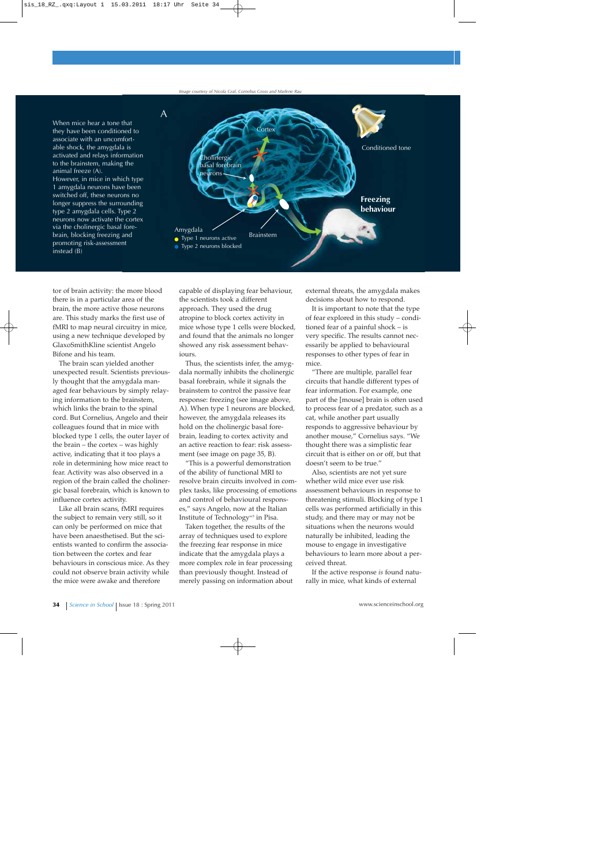*Image courtesy of Nicola Graf, Cornelius Gross and Marlene Rau*



tor of brain activity: the more blood there is in a particular area of the brain, the more active those neurons are. This study marks the first use of fMRI to map neural circuitry in mice, using a new technique developed by GlaxoSmithKline scientist Angelo Bifone and his team.

The brain scan yielded another unexpected result. Scientists previously thought that the amygdala managed fear behaviours by simply relaying information to the brainstem, which links the brain to the spinal cord. But Cornelius, Angelo and their colleagues found that in mice with blocked type 1 cells, the outer layer of the brain – the cortex – was highly active, indicating that it too plays a role in determining how mice react to fear. Activity was also observed in a region of the brain called the cholinergic basal forebrain, which is known to influence cortex activity.

Like all brain scans, fMRI requires the subject to remain very still, so it can only be performed on mice that have been anaesthetised. But the scientists wanted to confirm the association between the cortex and fear behaviours in conscious mice. As they could not observe brain activity while the mice were awake and therefore

capable of displaying fear behaviour, the scientists took a different approach. They used the drug atropine to block cortex activity in mice whose type 1 cells were blocked, and found that the animals no longer showed any risk assessment behaviours.

Thus, the scientists infer, the amygdala normally inhibits the cholinergic basal forebrain, while it signals the brainstem to control the passive fear response: freezing (see image above, A). When type 1 neurons are blocked, however, the amygdala releases its hold on the cholinergic basal forebrain, leading to cortex activity and an active reaction to fear: risk assessment (see image on page 35, B).

"This is a powerful demonstration of the ability of functional MRI to resolve brain circuits involved in complex tasks, like processing of emotions and control of behavioural responses," says Angelo, now at the Italian Institute of Technology<sup>w3</sup> in Pisa.

Taken together, the results of the array of techniques used to explore the freezing fear response in mice indicate that the amygdala plays a more complex role in fear processing than previously thought. Instead of merely passing on information about external threats, the amygdala makes decisions about how to respond.

It is important to note that the type of fear explored in this study – conditioned fear of a painful shock – is very specific. The results cannot necessarily be applied to behavioural responses to other types of fear in mice.

"There are multiple, parallel fear circuits that handle different types of fear information. For example, one part of the [mouse] brain is often used to process fear of a predator, such as a cat, while another part usually responds to aggressive behaviour by another mouse," Cornelius says. "We thought there was a simplistic fear circuit that is either on or off, but that doesn't seem to be true."

Also, scientists are not yet sure whether wild mice ever use risk assessment behaviours in response to threatening stimuli. Blocking of type 1 cells was performed artificially in this study, and there may or may not be situations when the neurons would naturally be inhibited, leading the mouse to engage in investigative behaviours to learn more about a perceived threat.

If the active response *is* found naturally in mice, what kinds of external